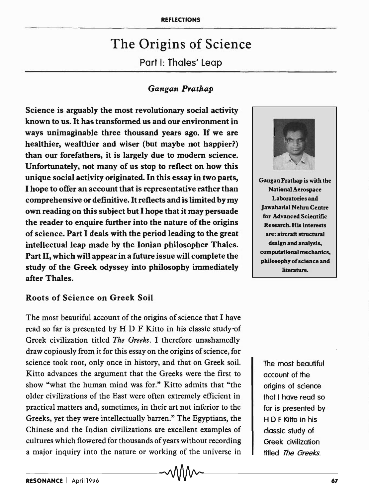# The Origins of Science Part I: Tholes' Leap

# *Gangan Prathap*

Science is arguably the most revolutionary social activity known to us. It has transformed us and our environment in ways unimaginable three thousand years ago. If we are healthier, wealthier and wiser (but maybe not happier?) than our forefathers, it is largely due to modem science. Unfortunately, not many of us stop to reflect on how this unique social activity originated. In this essay in two parts, I hope to offer an account that is representative rather than comprehensive or definitive. It reflects and is limited by my own reading on this subject but I hope that it may persuade the reader to enquire further into the nature of the origins of science. Part I deals with the period leading to the great intellectual leap made by the Ionian philosopher Thales. Part II, which will appear in a future issue will complete the study of the Greek odyssey into philosophy immediately after Thales.

## Roots of Science on Greek Soil

The most beautiful account of the origins of science that I have read so far is presented by H D F Kitto in his classic study of Greek civilization titled *The Greeks.* I therefore unashamedly draw copiously from it for this essay on the origins of science, for science took root, only once in history, and that on Greek soil. Kitto advances the argument that the Greeks were the first to show "what the human mind was for." Kitto admits that "the older civilizations of the East were often extremely efficient in practical matters and, sometimes, in their art not inferior to the Greeks, yet they were intellectually barren." The Egyptians, the Chinese and the Indian civilizations are excellent examples of cultures which flowered for thousands of years without recording a major inquiry into the nature or working of the universe in



Gangan Prathap is with the National Aerospace Laboratories and Jawaharlal Nehru Centre for Advanced Scientific Research. His interests are: aircraft structural design and analysis, computational mechanics, philosophy of science and literature.

The most beautiful account of the origins of science that I have read so far is· presented by H 0 F Kitto in his classic study of Greek civilization titled The Greeks.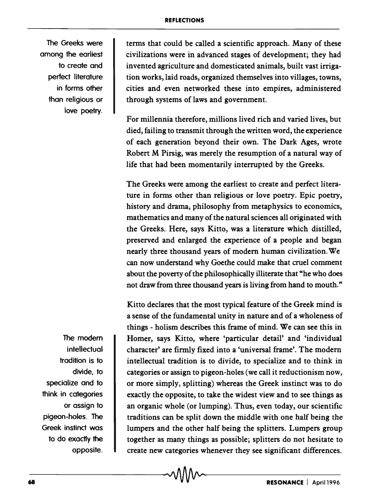The Greeks were among the earliest to create and perfect literature in forms other than religious or love poetry.

The modem **intellectual** tradition is to divide, to specialize and to think in categories or assign to pigeon-holes. The Greek instinct was to do exactly the opposite.

terms that could be called a scientific approach. Many of these civilizations were in advanced stages of development; they had invented agriculture and domesticated animals, built vast irrigation works, laid roads, organized themselves into villages, towns, cities and even networked these into empires, administered through systems of laws and government.

For millennia therefore, millions lived rich and varied lives, but died, failing to transmit through the written word, the experience of each generation beyond their own. The Dark Ages, wrote Robert M Pirsig, was merely the resumption of a natural way of life that had been momentarily interrupted by the Greeks.

The Greeks were among the earliest to create and perfect literature in forms other than religious or love poetry. Epic poetry, history and drama, philosophy from metaphysics to economics, mathematics and many of the natural sciences all originated with the Greeks. Here, says Kitto, was a literature which distilled, preserved and enlarged the experience of a people and began nearly three thousand years of modern human civilization. We can now understand why Goethe could make that cruel comment about the poverty of the philosophically illiterate that "he who does not draw from three thousand years is living from hand to mouth."

Kitto declares that the most typical feature of the Greek mind is a sense of the fundamental unity in nature and of a wholeness of things - holism describes this frame of mind. We can see this in Homer, says Kitto, where 'particular detail' and 'individual character' are firmly fixed into a 'universal frame'. The modern intellectual tradition is to divide, to specialize and to think in categories or assign to pigeon-holes (we call it reductionism now, or more simply, splitting) whereas the Greek instinct was to do exactly the opposite, to take the widest view and to see things as an organic whole (or lumping). Thus, even today, our scientific traditions can be split down the middle with one half being the lumpers and the other half being the splitters. Lumpers group together as many things as possible; splitters do not hesitate to create new categories whenever they see significant differences.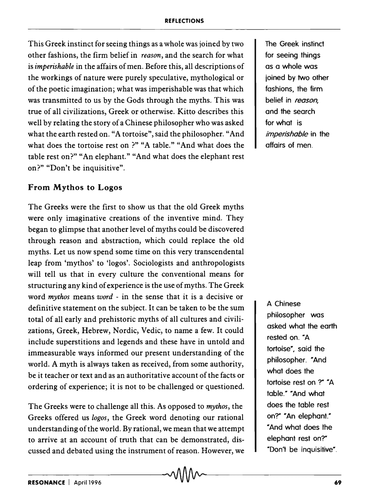#### REFLECTIONS

This Greek instinct for seeing things as a whole was joined by two other fashions, the firm belief in *reason,* and the search for what is *imperishable* in the affairs of men. Before this, all descriptions of the workings of nature were purely speculative, mythological or of the poetic imagination; what was imperishable was that which was transmitted to us by the Gods through the myths. This was true of all civilizations, Greek or otherwise. Kitto describes this well by relating the story of a Chinese philosopher who was asked what the earth rested on. "A tortoise", said the philosopher. "And what does the tortoise rest on ?" "A table." "And what does the table rest on?" "An elephant." "And what does the elephant rest on?" "Don't be inquisitive".

## From Mythos to Logos

The Greeks were the first to show us that the old Greek myths were only imaginative creations of the inventive mind. They began to glimpse that another level of myths could be discovered through reason and abstraction, which could replace the old myths. Let us now spend some time on this very transcendental leap from 'mythos' to 'logos'. Sociologists and anthropologists will tell us that in every culture the conventional means for structuring any kind of experience is the use of myths. The Greek word *mythos* means *word* - in the sense that it is a decisive or definitive statement on the subject. It can be taken to be the sum total of all early and prehistoric myths of all cultures and civilizations, Greek, Hebrew, Nordic, Vedic, to name a few. It could include superstitions and legends and these have in untold and immeasurable ways informed our present understanding of the world. A myth is always taken as received, from some authority, be it teacher or text and as an authoritative account of the facts or ordering of experience; it is not to be challenged or questioned.

The Greeks were to challenge all this. As opposed to *mythos,* the Greeks offered us *logos,* the Greek word denoting our rational understanding of the world. By rational, we mean that we attempt to arrive at an account of truth that can be demonstrated, discussed and debated using the instrument of reason. However, we

The Greek instinct for seeing things as a whole was joined by 1wo other fashions, the firm belief in *reason,*  and the search for what is *imperishable* in the affairs of men.

A Chinese philosopher was asked what the earth rested on. "A tortoise", said the philosopher. "And what does the tortoise rest on ?" "A table." "And what does the table rest on'r' "An elephant." "And what does the elephant rest on?" "Don't be inquisitive".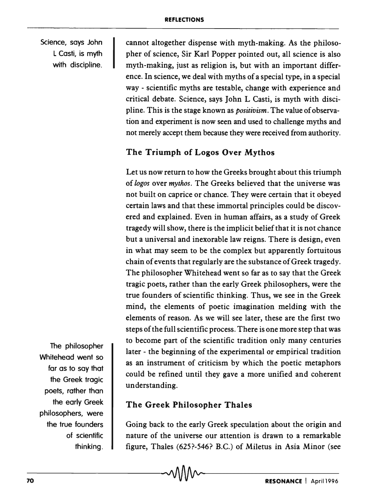Science, says John L Casti, is myth with discipline. cannot altogether dispense with myth-making. As the philosopher of science, Sir Karl Popper pointed out, all science is also myth-making, just as religion is, but with an important difference. In science, we deal with myths of a special type, in a special way - scientific myths are testable, change with experience and critical debate. Science, says John L Casti, is myth with discipline. This is the stage known as *positivism.* The value of observation and experiment is now seen and used to challenge myths and not merely accept them because they were received from authority.

# The Triumph of Logos Over Mythos

Let us now return to how the Greeks brought about this triumph of *logos* over *mythos.* The Greeks believed that the universe was not built on caprice or chance. They were certain that it obeyed certain laws and that these immortal principles could be discovered and explained. Even in human affairs, as a study of Greek tragedy will show, there is the implicit belief that it is not chance but a universal and inexorable law reigns. There is design, even in what may seem to be the complex but apparently fortuitous chain of events that regularly are the substance of Greek tragedy. The philosopher Whitehead went so far as to say that the Greek tragic poets, rather than the early Greek philosophers, were the true founders of scientific thinking. Thus, we see in the Greek mind, the elements of poetic imagination melding with the elements of reason. As we will see later, these are the first two steps of the full scientific process. There is one more step that was to become part of the scientific tradition only many centuries later - the beginning of the experimental or empirical tradition as an instrument of criticism by which the poetic metaphors could be refined until they gave a more unified and coherent understanding.

The Greek Philosopher Thales

Going back to the early Greek speculation about the origin and nature of the universe our attention is drawn to a remarkable figure, Thales (625?-546? B.C.) of Miletus in Asia Minor (see

The philosopher Whitehead went so far as to say that the Greek tragic poets, rather than the early Greek philosophers, were the true founders of scientific thinking.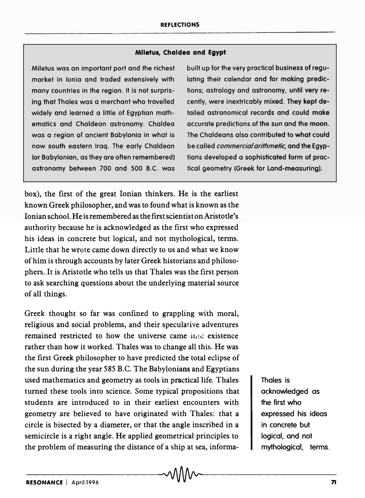## **Miletus, Chaldea and Egypt**

Miletus was an important port and the richest market in Ionia and traded extensively with many countries in the region. It is not surprising that Tholes was a merchant who travelled widely and learned a little of Egyptian mathematics and Chaldean astronomy. Chaldea was a region of ancient Babylonia in what is now south eastern Iraq. The early Chaldean (or Babylonian, as they are often remembered) astronomy between 700 and 500 B.C. was

box), the first of the great Ionian thinkers. He is the earliest known Greek philosopher, and was to found what is known as the Ionian school. He is remembered as the first scientist on Aristotle's authority because he is acknowledged as the first who expressed his ideas in concrete but logical, and not mythological, terms. Little that he wrote came down directly to us and what we know of him is through accounts by later Greek historians and philosophers. It is Aristotle who tells us that Thales was the first person to ask searching questions about the underlying material source of all things.

Greek thought so far was confined to grappling with moral, religious and social problems, and their speculative adventures remained restricted to how the universe came into existence rather than how it worked. Thales was to change all this. He was the first Greek philosopher to have predicted the total eclipse of the sun during the year 585 B.C. The Babylonians and Egyptians used mathematics and geometry as tools in practical life. Thales turned these tools into science. Some typical propositions that students are introduced to in their earliest encounters with geometry are believed to have originated with Thales: that a circle is bisected by a diameter, or that the angle inscribed in a semicircle is a right angle. He applied geometrical principles to the problem of measuring the distance of a ship at sea, informa-

built up for the very practical business of regulating their calendar and for making predictions; astrology and astronomy, until very recently, were inextricably mixed. They kept detailed astronomical records and could make accurate predictions of the sun and the moon. The Chaldeans also contributed to what could be called *commercial arithmetic,* and the Egyptians developed a sophisticated form of practical geometry (Greek for land-measuring).

> Thales is acknowledged as the first who expressed his ideas in concrete but logical, and not mythological, terms.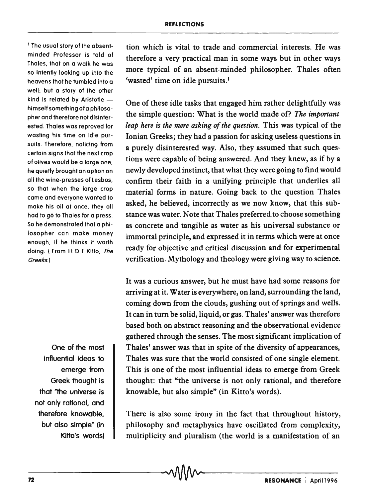1 The usual story of the absentminded Professor is told of Tholes, that on a walk he was so intently looking up into the heavens that he tumbled into a well; but a story of the other kind is related by Aristotle  $$ himself something of a philosopher and therefore not disinterested. Tholes was reproved for wasting his time on idle pursuits. Therefore, noticing from certain signs that the next crop of olives would be a large one, he quietly brought on option on all the Wine-presses of Lesbos, so that when the large crop come and everyone wonted to make his oil at once, they all hod to go to Tholes for a press. So he demonstrated that a philosopher can make money enough, if he thinks it worth doing. (From H D F Kitto, The Greeks.)

One of the most influential ideas to emerge from Greek thought is that "the universe is not only rational. and therefore knowable, but also simple" (in Kitto's words) tion which is vital to trade and commercial interests. He was therefore a very practical man in some ways but in other ways more typical of an absent-minded philosopher. Thales often 'wasted' time on idle pursuits.<sup>1</sup>

One of these idle tasks that engaged him rather delightfully was the simple question: What is the world made of? *The important leap here is the mere asking of the question.* This was typical of the Ionian Greeks; they had a passion for asking useless questions in a purely disinterested way. Also, they assumed that such questions were capable of being answered. And they knew, as if by a newly developed instinct, that what they were going to find would confirm their faith in a unifying principle that underlies all material forms in nature. Going back to the question Thales asked, he believed, incorrectly as we now know, that this substance was water. Note that Thales preferred to choose something as concrete and tangible as water as his universal substance or immortal principle, and expressed it in terms which were at once ready for objective and critical discussion and for experimental verification. Mythology and theology were giving way to science.

It was a curious answer, but he must have had some reasons for arriving at it. Water is everywhere, on land, surrounding the land, coming down from the clouds, gushing out of springs and wells. It can in turn be solid, liquid, or gas. Thales' answer was therefore based both on abstract reasoning and the observational evidence gathered through the senses. The most significant implication of Thales' answer was that in spite of the diversity of appearances, Thales was sure that the world consisted of one single element. This is one of the most influential ideas to emerge from Greek thought: that "the universe is not only rational, and therefore knowable, but also simple" (in Kitto's words).

There is also some irony in the fact that throughout history, philosophy and metaphysics have oscillated from complexity, multiplicity and pluralism (the world is a manifestation of an